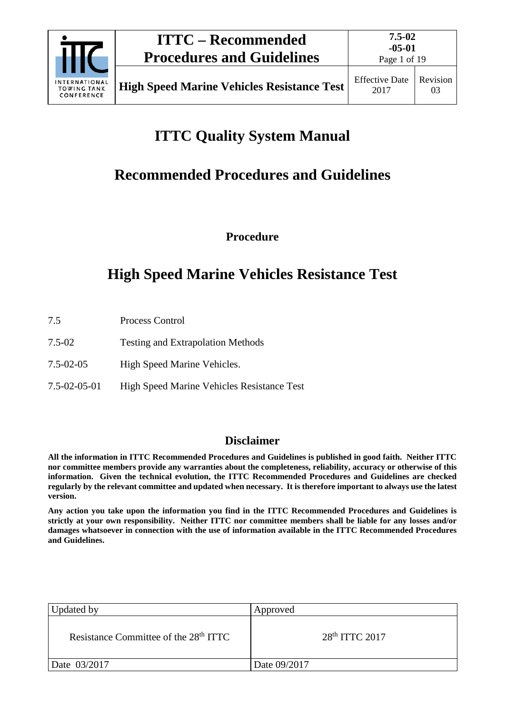

# **ITTC Quality System Manual**

# **Recommended Procedures and Guidelines**

**Procedure**

# **High Speed Marine Vehicles Resistance Test**

- 7.5 Process Control
- 7.5-02 Testing and Extrapolation Methods
- 7.5-02-05 High Speed Marine Vehicles.
- 7.5-02-05-01 High Speed Marine Vehicles Resistance Test

# **Disclaimer**

**All the information in ITTC Recommended Procedures and Guidelines is published in good faith. Neither ITTC nor committee members provide any warranties about the completeness, reliability, accuracy or otherwise of this information. Given the technical evolution, the ITTC Recommended Procedures and Guidelines are checked regularly by the relevant committee and updated when necessary. It is therefore important to always use the latest version.**

**Any action you take upon the information you find in the ITTC Recommended Procedures and Guidelines is strictly at your own responsibility. Neither ITTC nor committee members shall be liable for any losses and/or damages whatsoever in connection with the use of information available in the ITTC Recommended Procedures and Guidelines.**

| Updated by                                        | Approved                   |
|---------------------------------------------------|----------------------------|
| Resistance Committee of the 28 <sup>th</sup> ITTC | 28 <sup>th</sup> ITTC 2017 |
| Date 03/2017                                      | Date 09/2017               |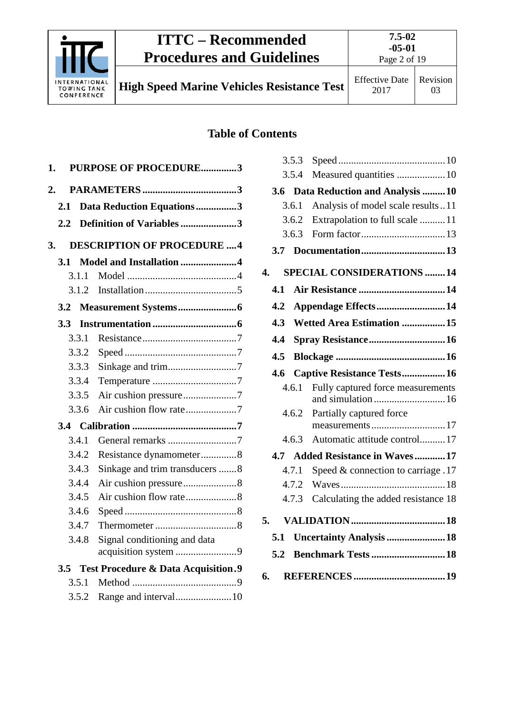

# **ITTC – Recommended Procedures and Guidelines**

**7.5-02 -05-01**

**High Speed Marine Vehicles Resistance Test** Effective Date

# **Table of Contents**

| 1.               |         | <b>PURPOSE OF PROCEDURE3</b>                         |  |
|------------------|---------|------------------------------------------------------|--|
| $\overline{2}$ . |         |                                                      |  |
| 2.1              |         | Data Reduction Equations3                            |  |
| $2.2\,$          |         | Definition of Variables3                             |  |
|                  |         |                                                      |  |
| 3.               |         | <b>DESCRIPTION OF PROCEDURE 4</b>                    |  |
| 3.1              |         | Model and Installation 4                             |  |
|                  | 3.1.1   |                                                      |  |
|                  | 3.1.2   |                                                      |  |
| 3.2              |         |                                                      |  |
| 3.3 <sub>1</sub> |         |                                                      |  |
|                  | 3.3.1   |                                                      |  |
|                  | 3.3.2   |                                                      |  |
|                  | 3.3.3   |                                                      |  |
|                  | 3.3.4   |                                                      |  |
|                  | 3.3.5   |                                                      |  |
|                  | 3.3.6   |                                                      |  |
|                  |         |                                                      |  |
|                  | 3.4.1   |                                                      |  |
|                  | 3.4.2   | Resistance dynamometer8                              |  |
|                  | 3.4.3   | Sinkage and trim transducers 8                       |  |
|                  | 3.4.4   |                                                      |  |
|                  | 3.4.5   |                                                      |  |
|                  | 3.4.6   |                                                      |  |
|                  | 3.4.7   |                                                      |  |
|                  | 3.4.8   | Signal conditioning and data<br>acquisition system 9 |  |
|                  | $3.5 -$ | <b>Test Procedure &amp; Data Acquisition.9</b>       |  |
|                  | 3.5.1   |                                                      |  |
|                  | 3.5.2   |                                                      |  |
|                  |         |                                                      |  |

|    |     | 3.5.3 |                                                         |
|----|-----|-------|---------------------------------------------------------|
|    |     | 3.5.4 | Measured quantities  10                                 |
|    |     |       | 3.6 Data Reduction and Analysis 10                      |
|    |     | 3.6.1 | Analysis of model scale results 11                      |
|    |     | 3.6.2 | Extrapolation to full scale 11                          |
|    |     | 3.6.3 |                                                         |
|    | 3.7 |       |                                                         |
| 4. |     |       | <b>SPECIAL CONSIDERATIONS 14</b>                        |
|    | 4.1 |       |                                                         |
|    | 4.2 |       | Appendage Effects14                                     |
|    | 4.3 |       | <b>Wetted Area Estimation 15</b>                        |
|    | 4.4 |       | Spray Resistance 16                                     |
|    | 4.5 |       |                                                         |
|    | 4.6 |       | Captive Resistance Tests 16                             |
|    |     | 4.6.1 | Fully captured force measurements<br>and simulation  16 |
|    |     | 4.6.2 | Partially captured force                                |
|    |     |       | measurements17                                          |
|    |     | 4.6.3 | Automatic attitude control 17                           |
|    |     |       | 4.7 Added Resistance in Waves 17                        |
|    |     | 4.7.1 | Speed $&$ connection to carriage .17                    |
|    |     | 4.7.2 |                                                         |
|    |     | 4.7.3 | Calculating the added resistance 18                     |
| 5. |     |       |                                                         |
|    | 5.1 |       | <b>Uncertainty Analysis  18</b>                         |
|    | 5.2 |       |                                                         |
| 6. |     |       |                                                         |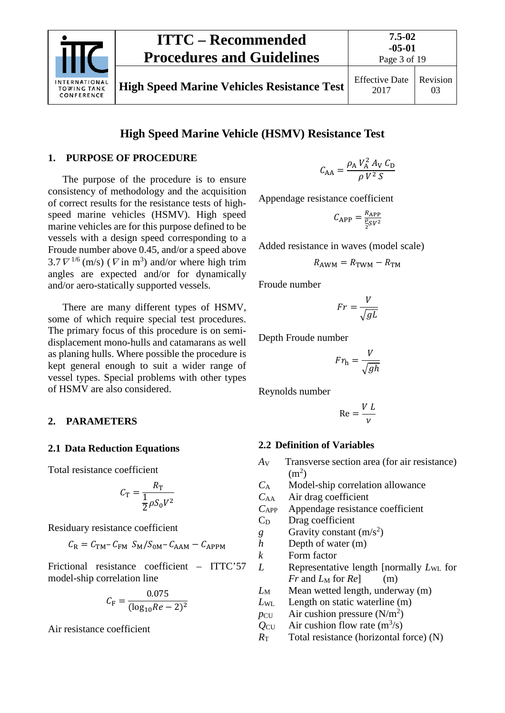

# **High Speed Marine Vehicle (HSMV) Resistance Test**

#### <span id="page-2-0"></span>**1. PURPOSE OF PROCEDURE**

The purpose of the procedure is to ensure consistency of methodology and the acquisition of correct results for the resistance tests of highspeed marine vehicles (HSMV). High speed marine vehicles are for this purpose defined to be vessels with a design speed corresponding to a Froude number above 0.45, and/or a speed above  $3.7 \nabla^{1/6}$  (m/s) ( $\nabla$  in m<sup>3</sup>) and/or where high trim angles are expected and/or for dynamically and/or aero-statically supported vessels.

There are many different types of HSMV, some of which require special test procedures. The primary focus of this procedure is on semidisplacement mono-hulls and catamarans as well as planing hulls. Where possible the procedure is kept general enough to suit a wider range of vessel types. Special problems with other types of HSMV are also considered.

#### <span id="page-2-2"></span><span id="page-2-1"></span>**2. PARAMETERS**

#### **2.1 Data Reduction Equations**

Total resistance coefficient

$$
C_{\rm T} = \frac{R_{\rm T}}{\frac{1}{2}\rho S_0 V^2}
$$

Residuary resistance coefficient

$$
C_{\rm R} = C_{\rm TM} - C_{\rm FM} S_{\rm M} / S_{\rm 0M} - C_{\rm AAM} - C_{\rm APPM}
$$

Frictional resistance coefficient – ITTC'57 model-ship correlation line

$$
C_{\rm F} = \frac{0.075}{(\log_{10} Re - 2)^2}
$$

Air resistance coefficient

$$
C_{AA} = \frac{\rho_A V_A^2 A_V C_D}{\rho V^2 S}
$$

Appendage resistance coefficient

$$
C_{\rm APP}=\frac{R_{\rm APP}}{\frac{\rho}{2}SV^2}
$$

Added resistance in waves (model scale)

$$
R_{\text{AWM}} = R_{\text{TWM}} - R_{\text{TM}}
$$

Froude number

$$
Fr = \frac{V}{\sqrt{gL}}
$$

Depth Froude number

$$
Fr_{\rm h} = \frac{V}{\sqrt{gh}}
$$

Reynolds number

$$
\text{Re} = \frac{V L}{\nu}
$$

#### <span id="page-2-3"></span>**2.2 Definition of Variables**

*A*<sup>V</sup> Transverse section area (for air resistance)  $(m<sup>2</sup>)$ 

*C*<sup>A</sup> Model-ship correlation allowance

- *C*AA Air drag coefficient
- *C*APP Appendage resistance coefficient

 $C_D$  Drag coefficient

*g* Gravity constant  $(m/s^2)$ 

*h* Depth of water (m)

*k* Form factor

*L* Representative length [normally *L*WL for *Fr* and  $L_M$  for  $Re$  (m)

*L*<sub>M</sub> Mean wetted length, underway (m)

*L*WL Length on static waterline (m)

 $p_{\text{CU}}$  Air cushion pressure (N/m<sup>2</sup>)

 $Q_{\text{CU}}$  Air cushion flow rate  $(m^3/s)$ 

 $R_{\text{T}}$  Total resistance (horizontal force) (N)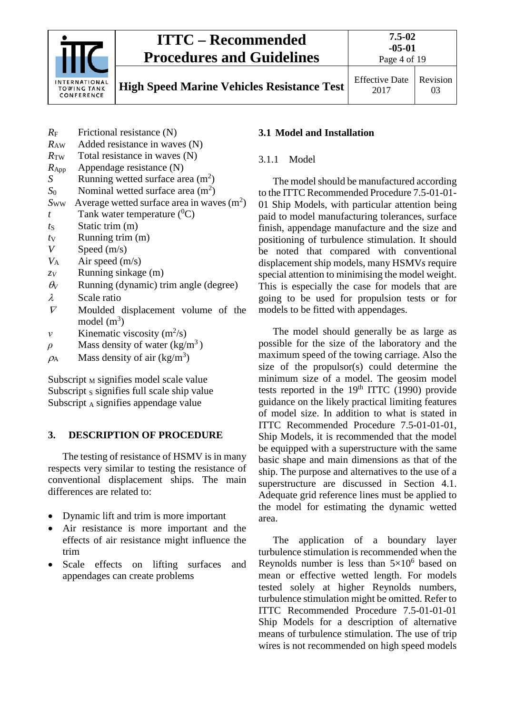

# **ITTC – Recommended Procedures and Guidelines**

Page 4 of 19

**High Speed Marine Vehicles Resistance Test** Effective Date

- *R*<sup>F</sup> Frictional resistance (N) *R*AW Added resistance in waves (N)
- $R_{\text{TW}}$  Total resistance in waves (N)
- *R*App Appendage resistance (N)
- *S* Running wetted surface area  $(m^2)$
- $S_0$  Nominal wetted surface area  $(m^2)$
- $S_{WW}$  Average wetted surface area in waves  $(m^2)$
- $t$  Tank water temperature  $({}^{0}C)$
- *t*<sub>S</sub> Static trim (m)
- $t_V$  Running trim  $(m)$
- *V* Speed (m/s)
- $V_A$  Air speed (m/s)
- *zV* Running sinkage (m)
- $\theta$ <sup>V</sup> Running (dynamic) trim angle (degree)
- λ Scale ratio
- <sup>∇</sup> Moulded displacement volume of the model  $(m^3)$
- *v* Kinematic viscosity  $(m^2/s)$
- $\rho$  Mass density of water (kg/m<sup>3</sup>)
- $\rho_A$  Mass density of air (kg/m<sup>3</sup>)

Subscript  $M$  signifies model scale value Subscript s signifies full scale ship value Subscript  $_A$  signifies appendage value

# <span id="page-3-0"></span>**3. DESCRIPTION OF PROCEDURE**

The testing of resistance of HSMV is in many respects very similar to testing the resistance of conventional displacement ships. The main differences are related to:

- Dynamic lift and trim is more important
- Air resistance is more important and the effects of air resistance might influence the trim
- Scale effects on lifting surfaces and appendages can create problems

# <span id="page-3-2"></span><span id="page-3-1"></span>**3.1 Model and Installation**

# 3.1.1 Model

The model should be manufactured according to the ITTC Recommended Procedure 7.5-01-01- 01 Ship Models, with particular attention being paid to model manufacturing tolerances, surface finish, appendage manufacture and the size and positioning of turbulence stimulation. It should be noted that compared with conventional displacement ship models, many HSMV*s* require special attention to minimising the model weight. This is especially the case for models that are going to be used for propulsion tests or for models to be fitted with appendages.

The model should generally be as large as possible for the size of the laboratory and the maximum speed of the towing carriage. Also the size of the propulsor(s) could determine the minimum size of a model. The geosim model tests reported in the  $19<sup>th</sup> ITTC$  (1990) provide guidance on the likely practical limiting features of model size. In addition to what is stated in ITTC Recommended Procedure 7.5-01-01-01, Ship Models, it is recommended that the model be equipped with a superstructure with the same basic shape and main dimensions as that of the ship. The purpose and alternatives to the use of a superstructure are discussed in Section 4.1. Adequate grid reference lines must be applied to the model for estimating the dynamic wetted area.

The application of a boundary layer turbulence stimulation is recommended when the Reynolds number is less than  $5\times10^6$  based on mean or effective wetted length. For models tested solely at higher Reynolds numbers, turbulence stimulation might be omitted. Refer to ITTC Recommended Procedure 7.5-01-01-01 Ship Models for a description of alternative means of turbulence stimulation. The use of trip wires is not recommended on high speed models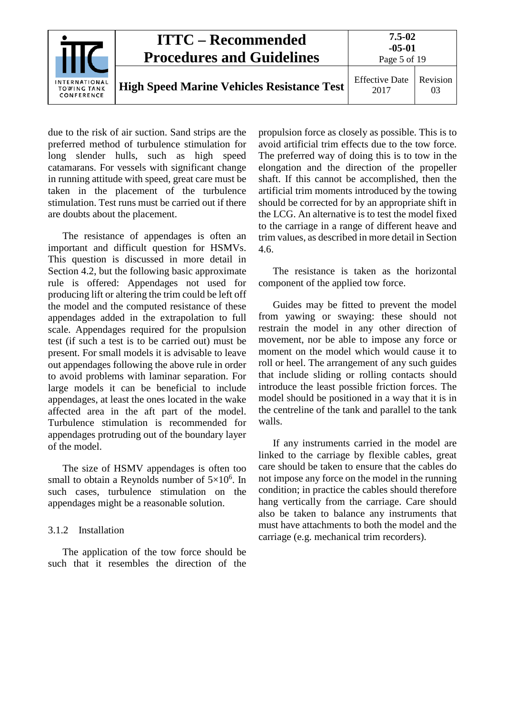

due to the risk of air suction. Sand strips are the preferred method of turbulence stimulation for long slender hulls, such as high speed catamarans. For vessels with significant change in running attitude with speed, great care must be taken in the placement of the turbulence stimulation. Test runs must be carried out if there are doubts about the placement.

The resistance of appendages is often an important and difficult question for HSMVs. This question is discussed in more detail in Section 4.2, but the following basic approximate rule is offered: Appendages not used for producing lift or altering the trim could be left off the model and the computed resistance of these appendages added in the extrapolation to full scale. Appendages required for the propulsion test (if such a test is to be carried out) must be present. For small models it is advisable to leave out appendages following the above rule in order to avoid problems with laminar separation. For large models it can be beneficial to include appendages, at least the ones located in the wake affected area in the aft part of the model. Turbulence stimulation is recommended for appendages protruding out of the boundary layer of the model.

The size of HSMV appendages is often too small to obtain a Reynolds number of  $5\times10^6$ . In such cases, turbulence stimulation on the appendages might be a reasonable solution.

# <span id="page-4-0"></span>3.1.2 Installation

The application of the tow force should be such that it resembles the direction of the propulsion force as closely as possible. This is to avoid artificial trim effects due to the tow force. The preferred way of doing this is to tow in the elongation and the direction of the propeller shaft. If this cannot be accomplished, then the artificial trim moments introduced by the towing should be corrected for by an appropriate shift in the LCG. An alternative is to test the model fixed to the carriage in a range of different heave and trim values, as described in more detail in Section 4.6.

The resistance is taken as the horizontal component of the applied tow force.

Guides may be fitted to prevent the model from yawing or swaying: these should not restrain the model in any other direction of movement, nor be able to impose any force or moment on the model which would cause it to roll or heel. The arrangement of any such guides that include sliding or rolling contacts should introduce the least possible friction forces. The model should be positioned in a way that it is in the centreline of the tank and parallel to the tank walls.

If any instruments carried in the model are linked to the carriage by flexible cables, great care should be taken to ensure that the cables do not impose any force on the model in the running condition; in practice the cables should therefore hang vertically from the carriage. Care should also be taken to balance any instruments that must have attachments to both the model and the carriage (e.g. mechanical trim recorders).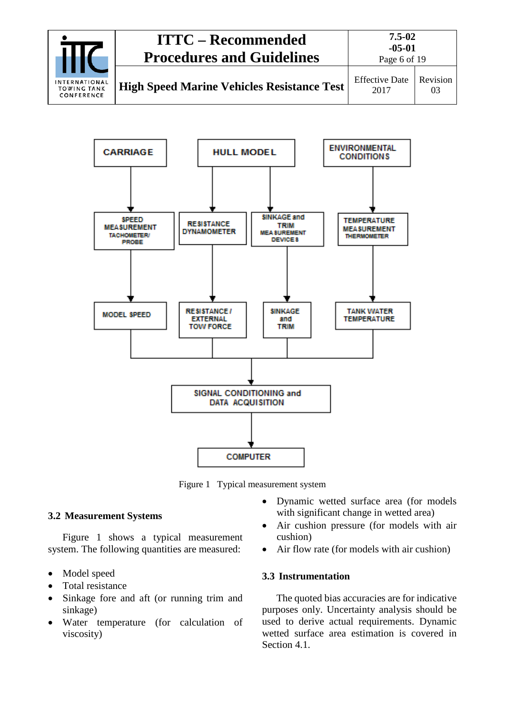|                                                          | <b>ITTC – Recommended</b><br><b>Procedures and Guidelines</b> | $7.5 - 02$<br>$-05-01$<br>Page 6 of 19 |                |
|----------------------------------------------------------|---------------------------------------------------------------|----------------------------------------|----------------|
| <b>INTERNATIONAL</b><br><b>TOWING TANK</b><br>CONFERENCE | <b>High Speed Marine Vehicles Resistance Test</b>             | <b>Effective Date</b><br>2017          | Revision<br>03 |



Figure 1 Typical measurement system

#### <span id="page-5-0"></span>**3.2 Measurement Systems**

Figure 1 shows a typical measurement system. The following quantities are measured:

- Model speed
- Total resistance
- Sinkage fore and aft (or running trim and sinkage)
- Water temperature (for calculation of viscosity)
- Dynamic wetted surface area (for models with significant change in wetted area)
- Air cushion pressure (for models with air cushion)
- Air flow rate (for models with air cushion)

# <span id="page-5-1"></span>**3.3 Instrumentation**

The quoted bias accuracies are for indicative purposes only. Uncertainty analysis should be used to derive actual requirements. Dynamic wetted surface area estimation is covered in Section 4.1.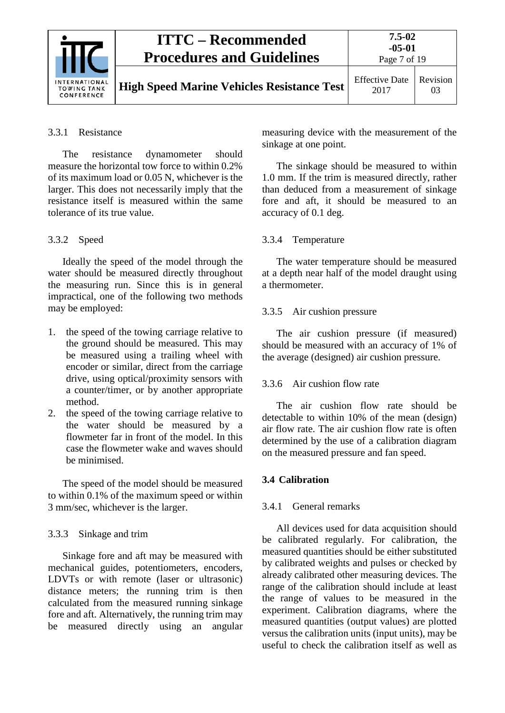| <b>ITTC – Recommended</b><br><b>Procedures and Guidelines</b> | $7.5 - 02$<br>$-05-01$<br>Page 7 of 19            |                               |                |
|---------------------------------------------------------------|---------------------------------------------------|-------------------------------|----------------|
| <b>INTERNATIONAL</b><br><b>TOWING TANK</b><br>CONFERENCE      | <b>High Speed Marine Vehicles Resistance Test</b> | <b>Effective Date</b><br>2017 | Revision<br>03 |

#### <span id="page-6-0"></span>3.3.1 Resistance

The resistance dynamometer should measure the horizontal tow force to within 0.2% of its maximum load or 0.05 N, whichever is the larger. This does not necessarily imply that the resistance itself is measured within the same tolerance of its true value.

### <span id="page-6-1"></span>3.3.2 Speed

Ideally the speed of the model through the water should be measured directly throughout the measuring run. Since this is in general impractical, one of the following two methods may be employed:

- 1. the speed of the towing carriage relative to the ground should be measured. This may be measured using a trailing wheel with encoder or similar, direct from the carriage drive, using optical/proximity sensors with a counter/timer, or by another appropriate method.
- 2. the speed of the towing carriage relative to the water should be measured by a flowmeter far in front of the model. In this case the flowmeter wake and waves should be minimised.

The speed of the model should be measured to within 0.1% of the maximum speed or within 3 mm/sec, whichever is the larger.

#### <span id="page-6-2"></span>3.3.3 Sinkage and trim

Sinkage fore and aft may be measured with mechanical guides, potentiometers, encoders, LDVTs or with remote (laser or ultrasonic) distance meters; the running trim is then calculated from the measured running sinkage fore and aft. Alternatively, the running trim may be measured directly using an angular measuring device with the measurement of the sinkage at one point.

The sinkage should be measured to within 1.0 mm. If the trim is measured directly, rather than deduced from a measurement of sinkage fore and aft, it should be measured to an accuracy of 0.1 deg.

#### <span id="page-6-3"></span>3.3.4 Temperature

The water temperature should be measured at a depth near half of the model draught using a thermometer.

### <span id="page-6-4"></span>3.3.5 Air cushion pressure

The air cushion pressure (if measured) should be measured with an accuracy of 1% of the average (designed) air cushion pressure.

#### <span id="page-6-5"></span>3.3.6 Air cushion flow rate

The air cushion flow rate should be detectable to within 10% of the mean (design) air flow rate. The air cushion flow rate is often determined by the use of a calibration diagram on the measured pressure and fan speed.

# <span id="page-6-7"></span><span id="page-6-6"></span>**3.4 Calibration**

#### 3.4.1 General remarks

All devices used for data acquisition should be calibrated regularly. For calibration, the measured quantities should be either substituted by calibrated weights and pulses or checked by already calibrated other measuring devices. The range of the calibration should include at least the range of values to be measured in the experiment. Calibration diagrams, where the measured quantities (output values) are plotted versus the calibration units (input units), may be useful to check the calibration itself as well as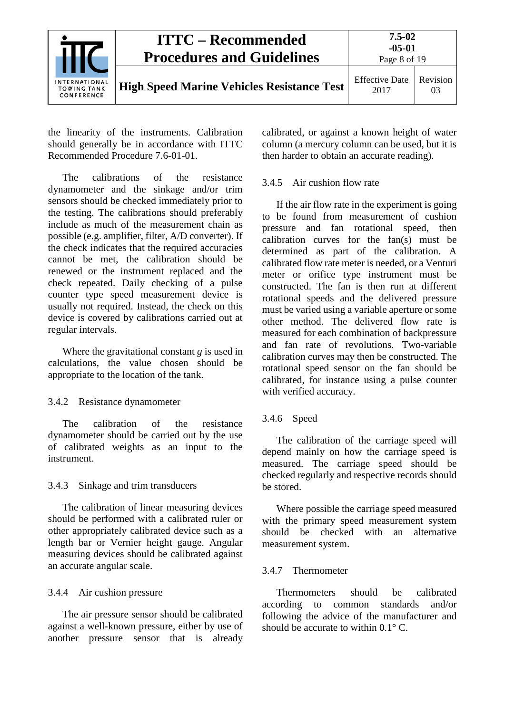|                                                   | <b>ITTC – Recommended</b><br><b>Procedures and Guidelines</b> | $7.5 - 02$<br>$-05-01$<br>Page 8 of 19 |                |
|---------------------------------------------------|---------------------------------------------------------------|----------------------------------------|----------------|
| INTERNATIONAL<br><b>TOWING TANK</b><br>CONFERENCE | <b>High Speed Marine Vehicles Resistance Test</b>             | <b>Effective Date</b><br>2017          | Revision<br>03 |

the linearity of the instruments. Calibration should generally be in accordance with ITTC Recommended Procedure 7.6-01-01.

The calibrations of the resistance dynamometer and the sinkage and/or trim sensors should be checked immediately prior to the testing. The calibrations should preferably include as much of the measurement chain as possible (e.g. amplifier, filter, A/D converter). If the check indicates that the required accuracies cannot be met, the calibration should be renewed or the instrument replaced and the check repeated. Daily checking of a pulse counter type speed measurement device is usually not required. Instead, the check on this device is covered by calibrations carried out at regular intervals.

Where the gravitational constant *g* is used in calculations, the value chosen should be appropriate to the location of the tank.

#### <span id="page-7-0"></span>3.4.2 Resistance dynamometer

The calibration of the resistance dynamometer should be carried out by the use of calibrated weights as an input to the instrument.

# <span id="page-7-1"></span>3.4.3 Sinkage and trim transducers

The calibration of linear measuring devices should be performed with a calibrated ruler or other appropriately calibrated device such as a length bar or Vernier height gauge. Angular measuring devices should be calibrated against an accurate angular scale.

# <span id="page-7-2"></span>3.4.4 Air cushion pressure

The air pressure sensor should be calibrated against a well-known pressure, either by use of another pressure sensor that is already calibrated, or against a known height of water column (a mercury column can be used, but it is then harder to obtain an accurate reading).

### <span id="page-7-3"></span>3.4.5 Air cushion flow rate

If the air flow rate in the experiment is going to be found from measurement of cushion pressure and fan rotational speed, then calibration curves for the fan(s) must be determined as part of the calibration. A calibrated flow rate meter is needed, or a Venturi meter or orifice type instrument must be constructed. The fan is then run at different rotational speeds and the delivered pressure must be varied using a variable aperture or some other method. The delivered flow rate is measured for each combination of backpressure and fan rate of revolutions. Two-variable calibration curves may then be constructed. The rotational speed sensor on the fan should be calibrated, for instance using a pulse counter with verified accuracy.

# <span id="page-7-4"></span>3.4.6 Speed

The calibration of the carriage speed will depend mainly on how the carriage speed is measured. The carriage speed should be checked regularly and respective records should be stored.

Where possible the carriage speed measured with the primary speed measurement system should be checked with an alternative measurement system.

# <span id="page-7-5"></span>3.4.7 Thermometer

Thermometers should be calibrated according to common standards and/or following the advice of the manufacturer and should be accurate to within  $0.1^{\circ}$  C.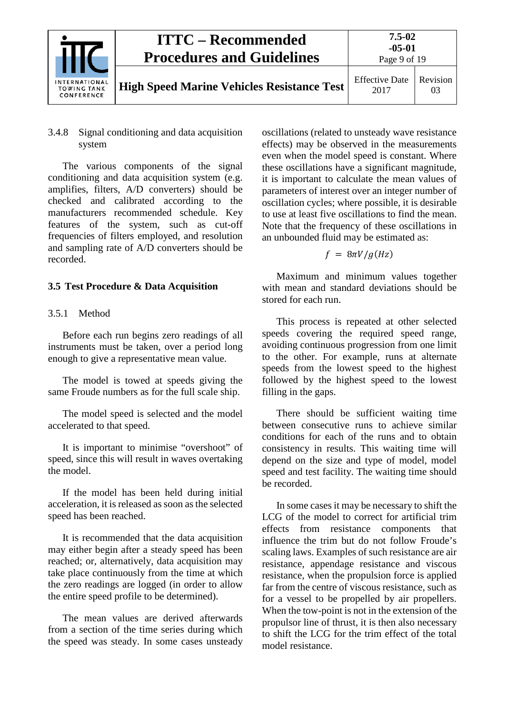

#### <span id="page-8-0"></span>3.4.8 Signal conditioning and data acquisition system

The various components of the signal conditioning and data acquisition system (e.g. amplifies, filters, A/D converters) should be checked and calibrated according to the manufacturers recommended schedule. Key features of the system, such as cut-off frequencies of filters employed, and resolution and sampling rate of A/D converters should be recorded.

# <span id="page-8-2"></span><span id="page-8-1"></span>**3.5 Test Procedure & Data Acquisition**

### 3.5.1 Method

Before each run begins zero readings of all instruments must be taken, over a period long enough to give a representative mean value.

The model is towed at speeds giving the same Froude numbers as for the full scale ship.

The model speed is selected and the model accelerated to that speed.

It is important to minimise "overshoot" of speed, since this will result in waves overtaking the model.

If the model has been held during initial acceleration, it is released as soon as the selected speed has been reached.

It is recommended that the data acquisition may either begin after a steady speed has been reached; or, alternatively, data acquisition may take place continuously from the time at which the zero readings are logged (in order to allow the entire speed profile to be determined).

The mean values are derived afterwards from a section of the time series during which the speed was steady. In some cases unsteady oscillations (related to unsteady wave resistance effects) may be observed in the measurements even when the model speed is constant. Where these oscillations have a significant magnitude, it is important to calculate the mean values of parameters of interest over an integer number of oscillation cycles; where possible, it is desirable to use at least five oscillations to find the mean. Note that the frequency of these oscillations in an unbounded fluid may be estimated as:

#### $f = 8\pi V/g(Hz)$

Maximum and minimum values together with mean and standard deviations should be stored for each run.

This process is repeated at other selected speeds covering the required speed range, avoiding continuous progression from one limit to the other. For example, runs at alternate speeds from the lowest speed to the highest followed by the highest speed to the lowest filling in the gaps.

There should be sufficient waiting time between consecutive runs to achieve similar conditions for each of the runs and to obtain consistency in results. This waiting time will depend on the size and type of model, model speed and test facility. The waiting time should be recorded.

In some cases it may be necessary to shift the LCG of the model to correct for artificial trim effects from resistance components that influence the trim but do not follow Froude's scaling laws. Examples of such resistance are air resistance, appendage resistance and viscous resistance, when the propulsion force is applied far from the centre of viscous resistance, such as for a vessel to be propelled by air propellers. When the tow-point is not in the extension of the propulsor line of thrust, it is then also necessary to shift the LCG for the trim effect of the total model resistance.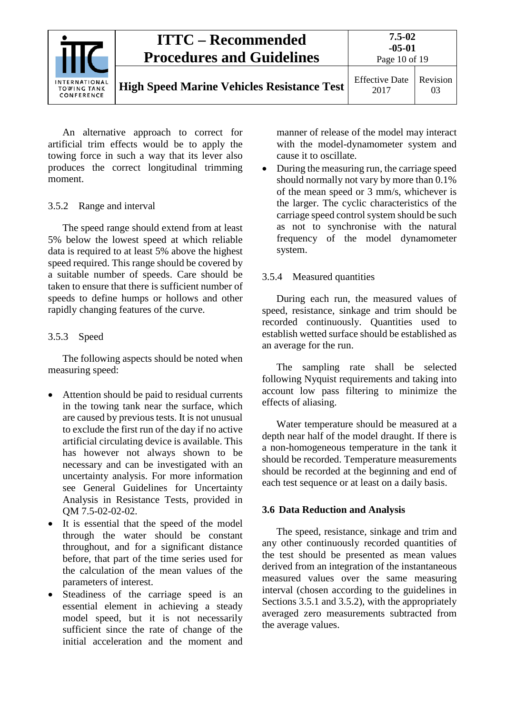

An alternative approach to correct for artificial trim effects would be to apply the towing force in such a way that its lever also produces the correct longitudinal trimming moment.

# <span id="page-9-0"></span>3.5.2 Range and interval

The speed range should extend from at least 5% below the lowest speed at which reliable data is required to at least 5% above the highest speed required. This range should be covered by a suitable number of speeds. Care should be taken to ensure that there is sufficient number of speeds to define humps or hollows and other rapidly changing features of the curve.

### <span id="page-9-1"></span>3.5.3 Speed

The following aspects should be noted when measuring speed:

- Attention should be paid to residual currents in the towing tank near the surface, which are caused by previous tests. It is not unusual to exclude the first run of the day if no active artificial circulating device is available. This has however not always shown to be necessary and can be investigated with an uncertainty analysis. For more information see General Guidelines for Uncertainty Analysis in Resistance Tests, provided in QM 7.5-02-02-02.
- It is essential that the speed of the model through the water should be constant throughout, and for a significant distance before, that part of the time series used for the calculation of the mean values of the parameters of interest.
- Steadiness of the carriage speed is an essential element in achieving a steady model speed, but it is not necessarily sufficient since the rate of change of the initial acceleration and the moment and

manner of release of the model may interact with the model-dynamometer system and cause it to oscillate.

• During the measuring run, the carriage speed should normally not vary by more than 0.1% of the mean speed or 3 mm/s, whichever is the larger. The cyclic characteristics of the carriage speed control system should be such as not to synchronise with the natural frequency of the model dynamometer system.

### <span id="page-9-2"></span>3.5.4 Measured quantities

During each run, the measured values of speed, resistance, sinkage and trim should be recorded continuously. Quantities used to establish wetted surface should be established as an average for the run.

The sampling rate shall be selected following Nyquist requirements and taking into account low pass filtering to minimize the effects of aliasing.

Water temperature should be measured at a depth near half of the model draught. If there is a non-homogeneous temperature in the tank it should be recorded. Temperature measurements should be recorded at the beginning and end of each test sequence or at least on a daily basis.

# <span id="page-9-3"></span>**3.6 Data Reduction and Analysis**

The speed, resistance, sinkage and trim and any other continuously recorded quantities of the test should be presented as mean values derived from an integration of the instantaneous measured values over the same measuring interval (chosen according to the guidelines in Sections 3.5.1 and 3.5.2), with the appropriately averaged zero measurements subtracted from the average values.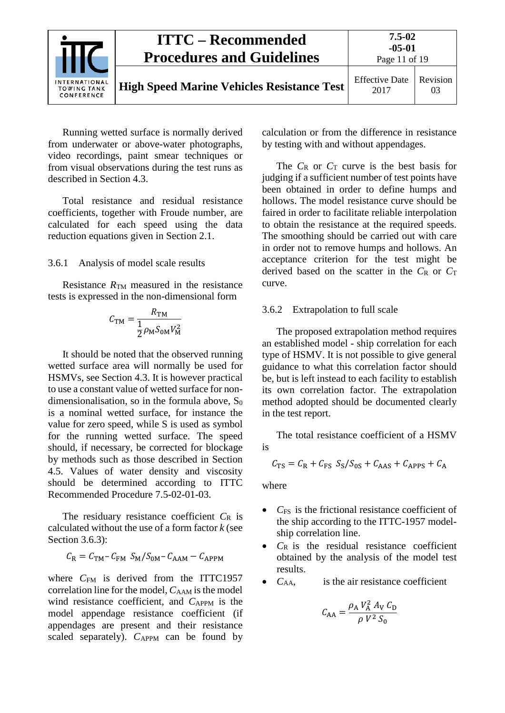

Running wetted surface is normally derived from underwater or above-water photographs, video recordings, paint smear techniques or from visual observations during the test runs as described in Section 4.3.

Total resistance and residual resistance coefficients, together with Froude number, are calculated for each speed using the data reduction equations given in Section [2.1.](#page-2-2)

#### <span id="page-10-0"></span>3.6.1 Analysis of model scale results

Resistance  $R_{TM}$  measured in the resistance tests is expressed in the non-dimensional form

$$
C_{\text{TM}} = \frac{R_{\text{TM}}}{\frac{1}{2}\rho_{\text{M}}S_{\text{0M}}V_{\text{M}}^2}
$$

It should be noted that the observed running wetted surface area will normally be used for HSMVs, see Section 4.3. It is however practical to use a constant value of wetted surface for nondimensionalisation, so in the formula above,  $S_0$ is a nominal wetted surface, for instance the value for zero speed, while S is used as symbol for the running wetted surface. The speed should, if necessary, be corrected for blockage by methods such as those described in Section 4.5. Values of water density and viscosity should be determined according to ITTC Recommended Procedure 7.5-02-01-03.

The residuary resistance coefficient *C*<sup>R</sup> is calculated without the use of a form factor  $k$  (see Section 3.6.3):

$$
C_{\rm R} = C_{\rm TM} - C_{\rm FM} S_{\rm M} / S_{\rm 0M} - C_{\rm AAM} - C_{\rm APPM}
$$

where  $C_{FM}$  is derived from the ITTC1957 correlation line for the model,  $C_{AAM}$  is the model wind resistance coefficient, and C<sub>APPM</sub> is the model appendage resistance coefficient (if appendages are present and their resistance scaled separately).  $C_{APPM}$  can be found by calculation or from the difference in resistance by testing with and without appendages.

The  $C_R$  or  $C_T$  curve is the best basis for judging if a sufficient number of test points have been obtained in order to define humps and hollows. The model resistance curve should be faired in order to facilitate reliable interpolation to obtain the resistance at the required speeds. The smoothing should be carried out with care in order not to remove humps and hollows. An acceptance criterion for the test might be derived based on the scatter in the  $C_R$  or  $C_T$ curve.

#### <span id="page-10-1"></span>3.6.2 Extrapolation to full scale

The proposed extrapolation method requires an established model - ship correlation for each type of HSMV. It is not possible to give general guidance to what this correlation factor should be, but is left instead to each facility to establish its own correlation factor. The extrapolation method adopted should be documented clearly in the test report.

The total resistance coefficient of a HSMV is

$$
C_{\rm TS} = C_{\rm R} + C_{\rm FS} S_{\rm S} / S_{\rm 0S} + C_{\rm AAS} + C_{\rm APPS} + C_{\rm A}
$$

where

- *C*FS is the frictional resistance coefficient of the ship according to the ITTC-1957 modelship correlation line.
- $C_R$  is the residual resistance coefficient obtained by the analysis of the model test results.
- $\bullet$   $C_{AA}$ , is the air resistance coefficient

$$
C_{AA} = \frac{\rho_A V_A^2 A_V C_D}{\rho V^2 S_0}
$$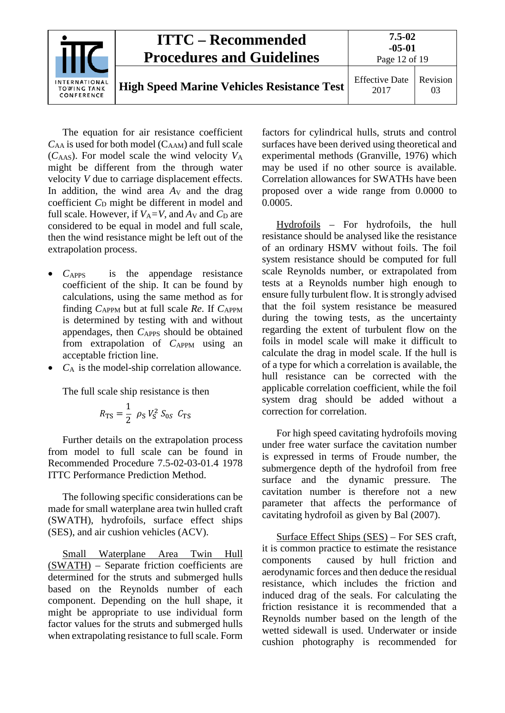|                                                   | <b>ITTC – Recommended</b><br><b>Procedures and Guidelines</b> | $7.5 - 02$<br>$-05-01$<br>Page 12 of 19 |                |
|---------------------------------------------------|---------------------------------------------------------------|-----------------------------------------|----------------|
| INTERNATIONAL<br><b>TOWING TANK</b><br>CONFERENCE | <b>High Speed Marine Vehicles Resistance Test</b>             | <b>Effective Date</b><br>2017           | Revision<br>03 |

The equation for air resistance coefficient  $C_{AA}$  is used for both model ( $C_{AAM}$ ) and full scale  $(C<sub>AdS</sub>)$ . For model scale the wind velocity  $V<sub>A</sub>$ might be different from the through water velocity *V* due to carriage displacement effects. In addition, the wind area *A*<sub>V</sub> and the drag coefficient C<sub>D</sub> might be different in model and full scale. However, if  $V_A = V$ , and  $A_V$  and  $C_D$  are considered to be equal in model and full scale, then the wind resistance might be left out of the extrapolation process.

- *C*APPS is the appendage resistance coefficient of the ship. It can be found by calculations, using the same method as for finding  $C_{APPM}$  but at full scale Re. If  $C_{APPM}$ is determined by testing with and without appendages, then *C*<sub>APPS</sub> should be obtained from extrapolation of *C*APPM using an acceptable friction line.
- *C*<sup>A</sup> is the model-ship correlation allowance.

The full scale ship resistance is then

$$
R_{\rm TS} = \frac{1}{2} \rho_{\rm S} V_{\rm S}^2 S_{0S} C_{\rm TS}
$$

Further details on the extrapolation process from model to full scale can be found in Recommended Procedure 7.5-02-03-01.4 1978 ITTC Performance Prediction Method.

The following specific considerations can be made for small waterplane area twin hulled craft (SWATH), hydrofoils, surface effect ships (SES), and air cushion vehicles (ACV).

Small Waterplane Area Twin Hull (SWATH) – Separate friction coefficients are determined for the struts and submerged hulls based on the Reynolds number of each component. Depending on the hull shape, it might be appropriate to use individual form factor values for the struts and submerged hulls when extrapolating resistance to full scale. Form

factors for cylindrical hulls, struts and control surfaces have been derived using theoretical and experimental methods (Granville, 1976) which may be used if no other source is available. Correlation allowances for SWATHs have been proposed over a wide range from 0.0000 to 0.0005.

Hydrofoils – For hydrofoils, the hull resistance should be analysed like the resistance of an ordinary HSMV without foils. The foil system resistance should be computed for full scale Reynolds number, or extrapolated from tests at a Reynolds number high enough to ensure fully turbulent flow. It is strongly advised that the foil system resistance be measured during the towing tests, as the uncertainty regarding the extent of turbulent flow on the foils in model scale will make it difficult to calculate the drag in model scale. If the hull is of a type for which a correlation is available, the hull resistance can be corrected with the applicable correlation coefficient, while the foil system drag should be added without a correction for correlation.

For high speed cavitating hydrofoils moving under free water surface the cavitation number is expressed in terms of Froude number, the submergence depth of the hydrofoil from free surface and the dynamic pressure. The cavitation number is therefore not a new parameter that affects the performance of cavitating hydrofoil as given by Bal (2007).

Surface Effect Ships (SES) – For SES craft, it is common practice to estimate the resistance components caused by hull friction and aerodynamic forces and then deduce the residual resistance, which includes the friction and induced drag of the seals. For calculating the friction resistance it is recommended that a Reynolds number based on the length of the wetted sidewall is used. Underwater or inside cushion photography is recommended for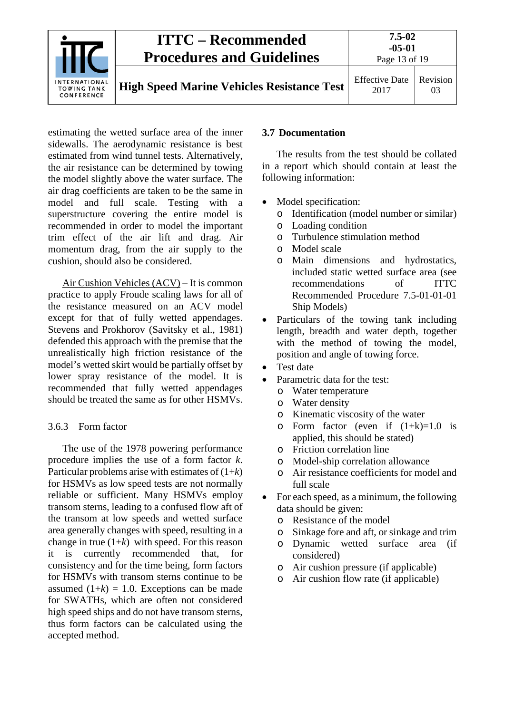

estimating the wetted surface area of the inner sidewalls. The aerodynamic resistance is best estimated from wind tunnel tests. Alternatively, the air resistance can be determined by towing the model slightly above the water surface. The air drag coefficients are taken to be the same in model and full scale. Testing with a superstructure covering the entire model is recommended in order to model the important trim effect of the air lift and drag. Air momentum drag, from the air supply to the cushion, should also be considered.

Air Cushion Vehicles (ACV) – It is common practice to apply Froude scaling laws for all of the resistance measured on an ACV model except for that of fully wetted appendages. Stevens and Prokhorov (Savitsky et al., 1981) defended this approach with the premise that the unrealistically high friction resistance of the model's wetted skirt would be partially offset by lower spray resistance of the model. It is recommended that fully wetted appendages should be treated the same as for other HSMVs.

#### <span id="page-12-0"></span>3.6.3 Form factor

The use of the 1978 powering performance procedure implies the use of a form factor *k*. Particular problems arise with estimates of (1+*k*) for HSMVs as low speed tests are not normally reliable or sufficient. Many HSMVs employ transom sterns, leading to a confused flow aft of the transom at low speeds and wetted surface area generally changes with speed, resulting in a change in true  $(1+k)$  with speed. For this reason it is currently recommended that, for consistency and for the time being, form factors for HSMVs with transom sterns continue to be assumed  $(1+k) = 1.0$ . Exceptions can be made for SWATHs, which are often not considered high speed ships and do not have transom sterns, thus form factors can be calculated using the accepted method.

#### <span id="page-12-1"></span>**3.7 Documentation**

The results from the test should be collated in a report which should contain at least the following information:

- Model specification:
	- o Identification (model number or similar)
	- o Loading condition
	- o Turbulence stimulation method
	- o Model scale
	- o Main dimensions and hydrostatics, included static wetted surface area (see recommendations of ITTC Recommended Procedure 7.5-01-01-01 Ship Models)
- Particulars of the towing tank including length, breadth and water depth, together with the method of towing the model, position and angle of towing force.
- Test date
- Parametric data for the test:
	- o Water temperature
	- o Water density
	- o Kinematic viscosity of the water
	- $\circ$  Form factor (even if  $(1+k)=1.0$  is applied, this should be stated)
	- o Friction correlation line
	- o Model-ship correlation allowance
	- o Air resistance coefficients for model and full scale
- For each speed, as a minimum, the following data should be given:
	- o Resistance of the model<br>o Sinkage fore and aft, or
	- Sinkage fore and aft, or sinkage and trim<br>Dynamic wetted surface area (if
	- o Dynamic wetted surface considered)
	- o Air cushion pressure (if applicable)
	- o Air cushion flow rate (if applicable)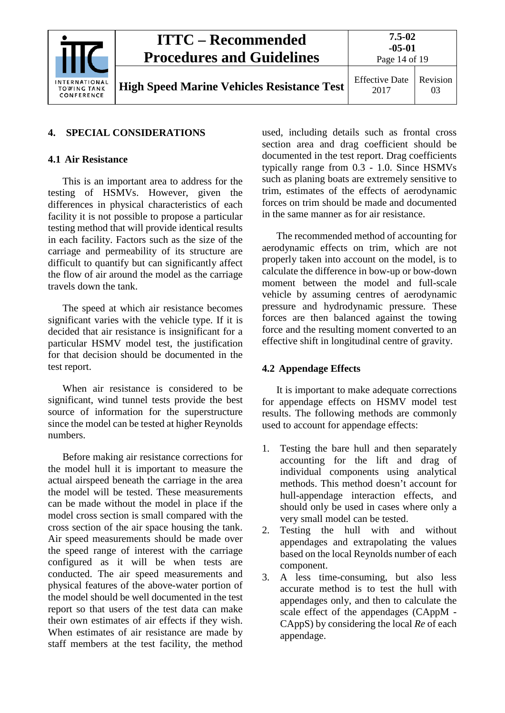

#### <span id="page-13-1"></span><span id="page-13-0"></span>**4. SPECIAL CONSIDERATIONS**

#### **4.1 Air Resistance**

This is an important area to address for the testing of HSMVs. However, given the differences in physical characteristics of each facility it is not possible to propose a particular testing method that will provide identical results in each facility. Factors such as the size of the carriage and permeability of its structure are difficult to quantify but can significantly affect the flow of air around the model as the carriage travels down the tank.

The speed at which air resistance becomes significant varies with the vehicle type. If it is decided that air resistance is insignificant for a particular HSMV model test, the justification for that decision should be documented in the test report.

When air resistance is considered to be significant, wind tunnel tests provide the best source of information for the superstructure since the model can be tested at higher Reynolds numbers.

Before making air resistance corrections for the model hull it is important to measure the actual airspeed beneath the carriage in the area the model will be tested. These measurements can be made without the model in place if the model cross section is small compared with the cross section of the air space housing the tank. Air speed measurements should be made over the speed range of interest with the carriage configured as it will be when tests are conducted. The air speed measurements and physical features of the above-water portion of the model should be well documented in the test report so that users of the test data can make their own estimates of air effects if they wish. When estimates of air resistance are made by staff members at the test facility, the method used, including details such as frontal cross section area and drag coefficient should be documented in the test report. Drag coefficients typically range from 0.3 - 1.0. Since HSMVs such as planing boats are extremely sensitive to trim, estimates of the effects of aerodynamic forces on trim should be made and documented in the same manner as for air resistance.

The recommended method of accounting for aerodynamic effects on trim*,* which are not properly taken into account on the model*,* is to calculate the difference in bow-up or bow-down moment between the model and full-scale vehicle by assuming centres of aerodynamic pressure and hydrodynamic pressure. These forces are then balanced against the towing force and the resulting moment converted to an effective shift in longitudinal centre of gravity.

#### <span id="page-13-2"></span>**4.2 Appendage Effects**

It is important to make adequate corrections for appendage effects on HSMV model test results. The following methods are commonly used to account for appendage effects:

- 1. Testing the bare hull and then separately accounting for the lift and drag of individual components using analytical methods. This method doesn't account for hull-appendage interaction effects, and should only be used in cases where only a very small model can be tested.
- 2. Testing the hull with and without appendages and extrapolating the values based on the local Reynolds number of each component.
- 3. A less time-consuming, but also less accurate method is to test the hull with appendages only, and then to calculate the scale effect of the appendages (CAppM - CAppS) by considering the local *Re* of each appendage.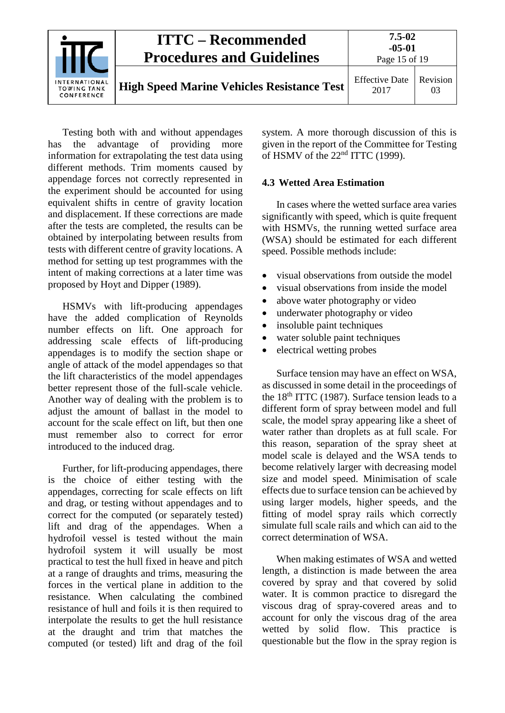

Testing both with and without appendages has the advantage of providing more information for extrapolating the test data using different methods. Trim moments caused by appendage forces not correctly represented in the experiment should be accounted for using equivalent shifts in centre of gravity location and displacement. If these corrections are made after the tests are completed, the results can be obtained by interpolating between results from tests with different centre of gravity locations. A method for setting up test programmes with the intent of making corrections at a later time was proposed by Hoyt and Dipper (1989).

HSMVs with lift-producing appendages have the added complication of Reynolds number effects on lift. One approach for addressing scale effects of lift-producing appendages is to modify the section shape or angle of attack of the model appendages so that the lift characteristics of the model appendages better represent those of the full-scale vehicle. Another way of dealing with the problem is to adjust the amount of ballast in the model to account for the scale effect on lift, but then one must remember also to correct for error introduced to the induced drag.

Further, for lift-producing appendages, there is the choice of either testing with the appendages, correcting for scale effects on lift and drag, or testing without appendages and to correct for the computed (or separately tested) lift and drag of the appendages. When a hydrofoil vessel is tested without the main hydrofoil system it will usually be most practical to test the hull fixed in heave and pitch at a range of draughts and trims, measuring the forces in the vertical plane in addition to the resistance. When calculating the combined resistance of hull and foils it is then required to interpolate the results to get the hull resistance at the draught and trim that matches the computed (or tested) lift and drag of the foil

system. A more thorough discussion of this is given in the report of the Committee for Testing of HSMV of the  $22<sup>nd</sup> ITTC$  (1999).

#### <span id="page-14-0"></span>**4.3 Wetted Area Estimation**

In cases where the wetted surface area varies significantly with speed, which is quite frequent with HSMVs, the running wetted surface area (WSA) should be estimated for each different speed. Possible methods include:

- visual observations from outside the model
- visual observations from inside the model
- above water photography or video
- underwater photography or video
- insoluble paint techniques
- water soluble paint techniques
- electrical wetting probes

Surface tension may have an effect on WSA, as discussed in some detail in the proceedings of the  $18<sup>th</sup> ITTC$  (1987). Surface tension leads to a different form of spray between model and full scale, the model spray appearing like a sheet of water rather than droplets as at full scale. For this reason, separation of the spray sheet at model scale is delayed and the WSA tends to become relatively larger with decreasing model size and model speed. Minimisation of scale effects due to surface tension can be achieved by using larger models, higher speeds, and the fitting of model spray rails which correctly simulate full scale rails and which can aid to the correct determination of WSA.

When making estimates of WSA and wetted length, a distinction is made between the area covered by spray and that covered by solid water. It is common practice to disregard the viscous drag of spray-covered areas and to account for only the viscous drag of the area wetted by solid flow. This practice is questionable but the flow in the spray region is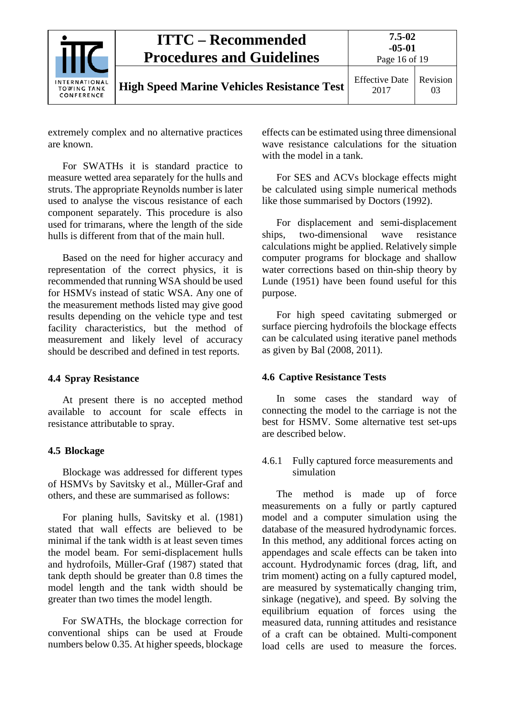|                                                   | <b>ITTC – Recommended</b><br><b>Procedures and Guidelines</b> | $7.5 - 02$<br>$-05-01$<br>Page 16 of 19 |                |
|---------------------------------------------------|---------------------------------------------------------------|-----------------------------------------|----------------|
| INTERNATIONAL<br><b>TOWING TANK</b><br>CONFERENCE | <b>High Speed Marine Vehicles Resistance Test</b>             | <b>Effective Date</b><br>2017           | Revision<br>03 |

extremely complex and no alternative practices are known.

For SWATHs it is standard practice to measure wetted area separately for the hulls and struts. The appropriate Reynolds number is later used to analyse the viscous resistance of each component separately. This procedure is also used for trimarans, where the length of the side hulls is different from that of the main hull.

Based on the need for higher accuracy and representation of the correct physics, it is recommended that running WSA should be used for HSMVs instead of static WSA. Any one of the measurement methods listed may give good results depending on the vehicle type and test facility characteristics, but the method of measurement and likely level of accuracy should be described and defined in test reports.

#### <span id="page-15-0"></span>**4.4 Spray Resistance**

At present there is no accepted method available to account for scale effects in resistance attributable to spray.

#### <span id="page-15-1"></span>**4.5 Blockage**

Blockage was addressed for different types of HSMVs by Savitsky et al.*,* Müller-Graf and others, and these are summarised as follows:

For planing hulls, Savitsky et al. (1981) stated that wall effects are believed to be minimal if the tank width is at least seven times the model beam. For semi-displacement hulls and hydrofoils, Müller-Graf (1987) stated that tank depth should be greater than 0.8 times the model length and the tank width should be greater than two times the model length.

For SWATHs, the blockage correction for conventional ships can be used at Froude numbers below 0.35. At higher speeds, blockage effects can be estimated using three dimensional wave resistance calculations for the situation with the model in a tank.

For SES and ACVs blockage effects might be calculated using simple numerical methods like those summarised by Doctors (1992).

For displacement and semi-displacement ships, two-dimensional wave resistance calculations might be applied. Relatively simple computer programs for blockage and shallow water corrections based on thin-ship theory by Lunde (1951) have been found useful for this purpose.

For high speed cavitating submerged or surface piercing hydrofoils the blockage effects can be calculated using iterative panel methods as given by Bal (2008, 2011).

#### <span id="page-15-2"></span>**4.6 Captive Resistance Tests**

In some cases the standard way of connecting the model to the carriage is not the best for HSMV. Some alternative test set-ups are described below.

<span id="page-15-3"></span>4.6.1 Fully captured force measurements and simulation

The method is made up of force measurements on a fully or partly captured model and a computer simulation using the database of the measured hydrodynamic forces. In this method, any additional forces acting on appendages and scale effects can be taken into account. Hydrodynamic forces (drag, lift, and trim moment) acting on a fully captured model, are measured by systematically changing trim, sinkage (negative), and speed. By solving the equilibrium equation of forces using the measured data, running attitudes and resistance of a craft can be obtained. Multi-component load cells are used to measure the forces.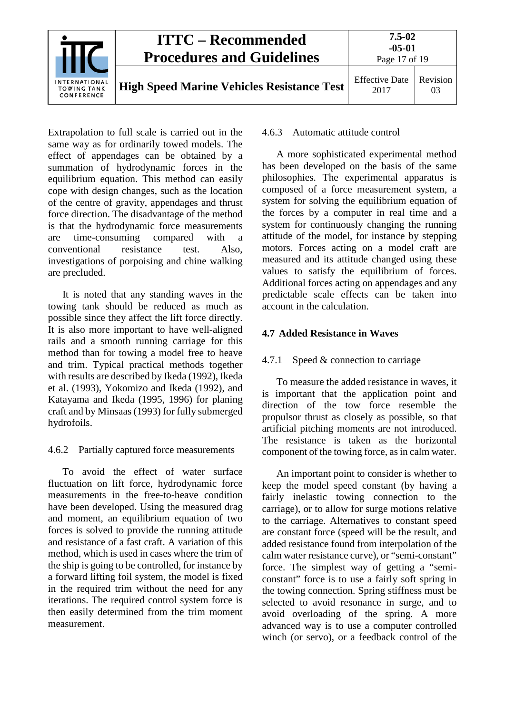

Extrapolation to full scale is carried out in the same way as for ordinarily towed models. The effect of appendages can be obtained by a summation of hydrodynamic forces in the equilibrium equation. This method can easily cope with design changes, such as the location of the centre of gravity, appendages and thrust force direction. The disadvantage of the method is that the hydrodynamic force measurements are time-consuming compared with a conventional resistance test. Also, investigations of porpoising and chine walking are precluded.

It is noted that any standing waves in the towing tank should be reduced as much as possible since they affect the lift force directly. It is also more important to have well-aligned rails and a smooth running carriage for this method than for towing a model free to heave and trim. Typical practical methods together with results are described by Ikeda (1992), Ikeda et al. (1993), Yokomizo and Ikeda (1992), and Katayama and Ikeda (1995, 1996) for planing craft and by Minsaas (1993) for fully submerged hydrofoils.

#### <span id="page-16-0"></span>4.6.2 Partially captured force measurements

To avoid the effect of water surface fluctuation on lift force, hydrodynamic force measurements in the free-to-heave condition have been developed. Using the measured drag and moment, an equilibrium equation of two forces is solved to provide the running attitude and resistance of a fast craft. A variation of this method, which is used in cases where the trim of the ship is going to be controlled, for instance by a forward lifting foil system, the model is fixed in the required trim without the need for any iterations. The required control system force is then easily determined from the trim moment measurement.

#### <span id="page-16-1"></span>4.6.3 Automatic attitude control

A more sophisticated experimental method has been developed on the basis of the same philosophies. The experimental apparatus is composed of a force measurement system, a system for solving the equilibrium equation of the forces by a computer in real time and a system for continuously changing the running attitude of the model, for instance by stepping motors. Forces acting on a model craft are measured and its attitude changed using these values to satisfy the equilibrium of forces. Additional forces acting on appendages and any predictable scale effects can be taken into account in the calculation.

# <span id="page-16-3"></span><span id="page-16-2"></span>**4.7 Added Resistance in Waves**

### 4.7.1 Speed & connection to carriage

To measure the added resistance in waves, it is important that the application point and direction of the tow force resemble the propulsor thrust as closely as possible, so that artificial pitching moments are not introduced. The resistance is taken as the horizontal component of the towing force, as in calm water.

An important point to consider is whether to keep the model speed constant (by having a fairly inelastic towing connection to the carriage), or to allow for surge motions relative to the carriage. Alternatives to constant speed are constant force (speed will be the result, and added resistance found from interpolation of the calm water resistance curve), or "semi-constant" force. The simplest way of getting a "semiconstant" force is to use a fairly soft spring in the towing connection. Spring stiffness must be selected to avoid resonance in surge, and to avoid overloading of the spring. A more advanced way is to use a computer controlled winch (or servo), or a feedback control of the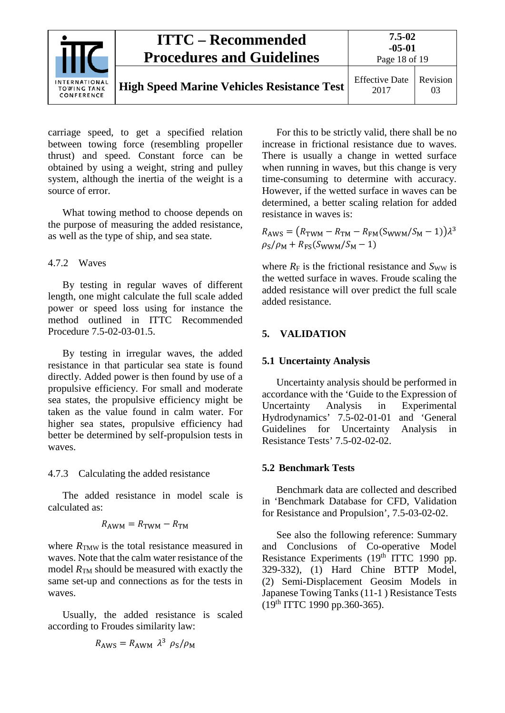| <b>ITTC – Recommended</b><br><b>Procedures and Guidelines</b> | $7.5 - 02$<br>$-05-01$<br>Page 18 of 19           |                               |                |
|---------------------------------------------------------------|---------------------------------------------------|-------------------------------|----------------|
| INTERNATIONAL<br><b>TOWING TANK</b><br>CONFERENCE             | <b>High Speed Marine Vehicles Resistance Test</b> | <b>Effective Date</b><br>2017 | Revision<br>03 |

carriage speed, to get a specified relation between towing force (resembling propeller thrust) and speed. Constant force can be obtained by using a weight, string and pulley system, although the inertia of the weight is a source of error.

What towing method to choose depends on the purpose of measuring the added resistance, as well as the type of ship, and sea state.

# <span id="page-17-0"></span>4.7.2 Waves

By testing in regular waves of different length, one might calculate the full scale added power or speed loss using for instance the method outlined in ITTC Recommended Procedure 7.5-02-03-01.5.

By testing in irregular waves, the added resistance in that particular sea state is found directly. Added power is then found by use of a propulsive efficiency. For small and moderate sea states, the propulsive efficiency might be taken as the value found in calm water. For higher sea states, propulsive efficiency had better be determined by self-propulsion tests in waves.

<span id="page-17-1"></span>4.7.3 Calculating the added resistance

The added resistance in model scale is calculated as:

$$
R_{\text{AWM}} = R_{\text{TWM}} - R_{\text{TM}}
$$

where  $R_{\text{TMW}}$  is the total resistance measured in waves. Note that the calm water resistance of the model  $R_{TM}$  should be measured with exactly the same set-up and connections as for the tests in waves.

Usually, the added resistance is scaled according to Froudes similarity law:

$$
R_{\rm AWS} = R_{\rm AWM} \ \lambda^3 \ \rho_{\rm S}/\rho_{\rm M}
$$

For this to be strictly valid, there shall be no increase in frictional resistance due to waves. There is usually a change in wetted surface when running in waves, but this change is very time-consuming to determine with accuracy. However, if the wetted surface in waves can be determined, a better scaling relation for added resistance in waves is:

 $R_{\text{AWS}} = (R_{\text{TWM}} - R_{\text{TM}} - R_{\text{FM}}(S_{\text{WWW}}/S_{\text{M}} - 1))\lambda^3$  $\rho_{\rm S}/\rho_{\rm M} + R_{\rm FS}(S_{\rm WWM}/S_{\rm M} - 1)$ 

where  $R_F$  is the frictional resistance and  $S_{WW}$  is the wetted surface in waves. Froude scaling the added resistance will over predict the full scale added resistance.

# <span id="page-17-3"></span><span id="page-17-2"></span>**5. VALIDATION**

# **5.1 Uncertainty Analysis**

Uncertainty analysis should be performed in accordance with the 'Guide to the Expression of Uncertainty Analysis in Experimental Hydrodynamics' 7.5-02-01-01 and 'General Guidelines for Uncertainty Analysis in Resistance Tests' 7.5-02-02-02.

# <span id="page-17-4"></span>**5.2 Benchmark Tests**

Benchmark data are collected and described in 'Benchmark Database for CFD, Validation for Resistance and Propulsion', 7.5-03-02-02.

See also the following reference: Summary and Conclusions of Co-operative Model Resistance Experiments (19<sup>th</sup> ITTC 1990 pp. 329-332), (1) Hard Chine BTTP Model, (2) Semi-Displacement Geosim Models in Japanese Towing Tanks (11-1 ) Resistance Tests (19th ITTC 1990 pp.360-365).